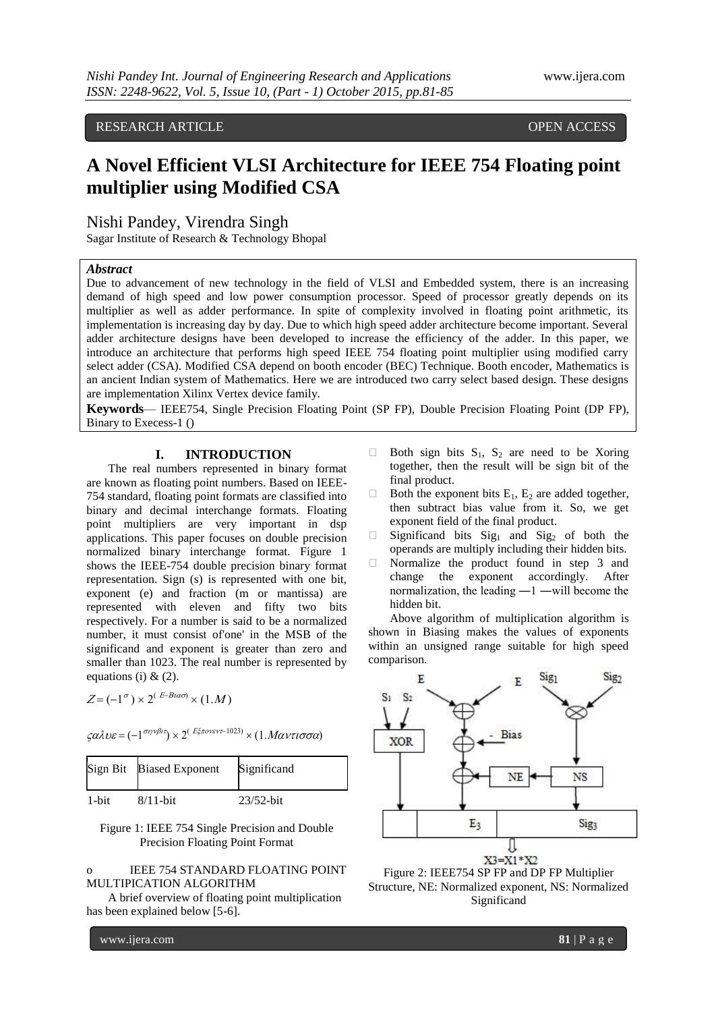RESEARCH ARTICLE OPEN ACCESS

# **A Novel Efficient VLSI Architecture for IEEE 754 Floating point multiplier using Modified CSA**

Nishi Pandey, Virendra Singh

Sagar Institute of Research & Technology Bhopal

## *Abstract*

Due to advancement of new technology in the field of VLSI and Embedded system, there is an increasing demand of high speed and low power consumption processor. Speed of processor greatly depends on its multiplier as well as adder performance. In spite of complexity involved in floating point arithmetic, its implementation is increasing day by day. Due to which high speed adder architecture become important. Several adder architecture designs have been developed to increase the efficiency of the adder. In this paper, we introduce an architecture that performs high speed IEEE 754 floating point multiplier using modified carry select adder (CSA). Modified CSA depend on booth encoder (BEC) Technique. Booth encoder, Mathematics is an ancient Indian system of Mathematics. Here we are introduced two carry select based design. These designs are implementation Xilinx Vertex device family.

**Keywords**— IEEE754, Single Precision Floating Point (SP FP), Double Precision Floating Point (DP FP), Binary to Execess-1 ()

# **I. INTRODUCTION**

The real numbers represented in binary format are known as floating point numbers. Based on IEEE-754 standard, floating point formats are classified into binary and decimal interchange formats. Floating point multipliers are very important in dsp applications. This paper focuses on double precision normalized binary interchange format. Figure 1 shows the IEEE-754 double precision binary format representation. Sign (s) is represented with one bit, exponent (e) and fraction (m or mantissa) are represented with eleven and fifty two bits respectively. For a number is said to be a normalized number, it must consist of'one' in the MSB of the significand and exponent is greater than zero and smaller than 1023. The real number is represented by equations (i)  $& (2)$ .

 $Z = (-1^{\sigma}) \times 2^{(E-B \alpha \sigma)} \times (1.M)$  S

 $\zeta \alpha \lambda \nu \varepsilon = (-1^{\sigma \nu \nu \beta \iota \tau}) \times 2^{(\frac{E \xi \pi \sigma \nu \varepsilon \nu \tau - 1023)}{\varepsilon}} \times (1. M \alpha \nu \tau \iota \sigma \sigma \alpha)$ 

|       | Sign Bit Biased Exponent | Significand  |
|-------|--------------------------|--------------|
| 1-bit | $8/11$ -bit              | $23/52$ -bit |

### Figure 1: IEEE 754 Single Precision and Double Precision Floating Point Format

## o IEEE 754 STANDARD FLOATING POINT MULTIPICATION ALGORITHM

A brief overview of floating point multiplication has been explained below [5-6].

- $\Box$  Both sign bits  $S_1$ ,  $S_2$  are need to be Xoring together, then the result will be sign bit of the final product.
- $\Box$  Both the exponent bits  $E_1$ ,  $E_2$  are added together, then subtract bias value from it. So, we get exponent field of the final product.
- $\Box$  Significand bits Sig<sub>1</sub> and Sig<sub>2</sub> of both the operands are multiply including their hidden bits.
- $\Box$  Normalize the product found in step 3 and change the exponent accordingly. After normalization, the leading ―1 ―will become the hidden bit.

Above algorithm of multiplication algorithm is shown in Biasing makes the values of exponents within an unsigned range suitable for high speed comparison.





www.ijera.com **81** | P a g e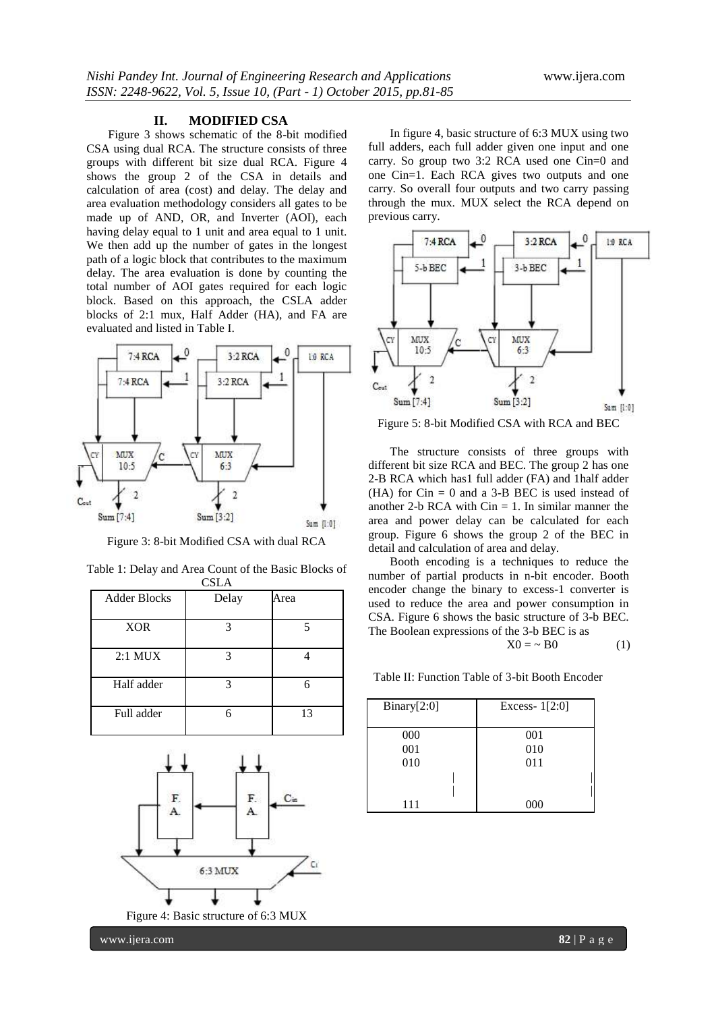#### **II. MODIFIED CSA**

Figure 3 shows schematic of the 8-bit modified CSA using dual RCA. The structure consists of three groups with different bit size dual RCA. Figure 4 shows the group 2 of the CSA in details and calculation of area (cost) and delay. The delay and area evaluation methodology considers all gates to be made up of AND, OR, and Inverter (AOI), each having delay equal to 1 unit and area equal to 1 unit. We then add up the number of gates in the longest path of a logic block that contributes to the maximum delay. The area evaluation is done by counting the total number of AOI gates required for each logic block. Based on this approach, the CSLA adder blocks of 2:1 mux, Half Adder (HA), and FA are evaluated and listed in Table I.



Figure 3: 8-bit Modified CSA with dual RCA

| ື້ນມາ               |       |      |  |
|---------------------|-------|------|--|
| <b>Adder Blocks</b> | Delay | Area |  |
| <b>XOR</b>          | 3     |      |  |
| $2:1$ MUX           | 3     |      |  |
| Half adder          | 3     |      |  |
| Full adder          | 6     | 13   |  |





In figure 4, basic structure of 6:3 MUX using two full adders, each full adder given one input and one carry. So group two 3:2 RCA used one Cin=0 and one Cin=1. Each RCA gives two outputs and one carry. So overall four outputs and two carry passing through the mux. MUX select the RCA depend on previous carry.



Figure 5: 8-bit Modified CSA with RCA and BEC

The structure consists of three groups with different bit size RCA and BEC. The group 2 has one 2-B RCA which has1 full adder (FA) and 1half adder  $(HA)$  for Cin = 0 and a 3-B BEC is used instead of another 2-b RCA with  $Cin = 1$ . In similar manner the area and power delay can be calculated for each group. Figure 6 shows the group 2 of the BEC in detail and calculation of area and delay.

Booth encoding is a techniques to reduce the number of partial products in n-bit encoder. Booth encoder change the binary to excess-1 converter is used to reduce the area and power consumption in CSA. Figure 6 shows the basic structure of 3-b BEC. The Boolean expressions of the 3-b BEC is as

$$
X0 = \sim B0 \tag{1}
$$

Table II: Function Table of 3-bit Booth Encoder

| Binary[2:0] | Excess- $1[2:0]$ |
|-------------|------------------|
| 000         | 001              |
| 001         | 010              |
| 010         | 011              |
|             |                  |
|             |                  |
| 111         | 000              |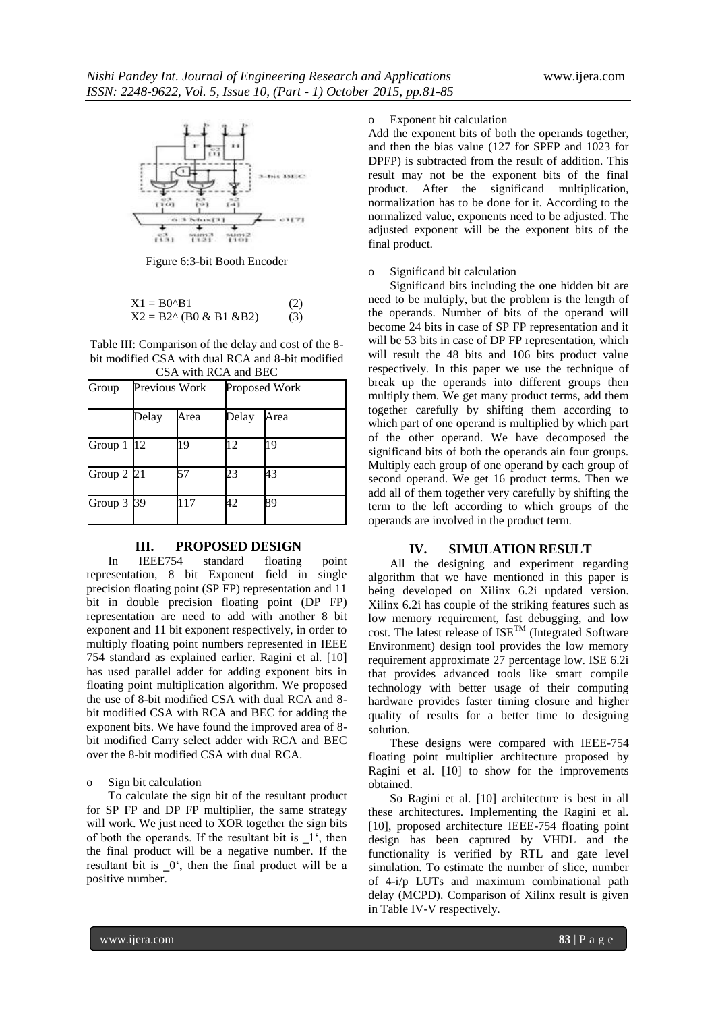

Figure 6:3-bit Booth Encoder

$$
X1 = B0^{\wedge}B1
$$
 (2)  

$$
X2 = B2^{\wedge} (B0 & B1 & B2)
$$
 (3)

Table III: Comparison of the delay and cost of the 8 bit modified CSA with dual RCA and 8-bit modified

| CSA with RCA and BEC     |               |      |       |               |
|--------------------------|---------------|------|-------|---------------|
| Group                    | Previous Work |      |       | Proposed Work |
|                          | Delay         | Area | Delay | Area          |
| Group $1 \vert 12 \vert$ |               | 19   | 12    | 19            |
| Group $2$ $21$           |               | 57   | 23    | 43            |
| Group 3 39               |               | 17   | 42    | 89            |

# **III. PROPOSED DESIGN**

In IEEE754 standard floating point representation, 8 bit Exponent field in single precision floating point (SP FP) representation and 11 bit in double precision floating point (DP FP) representation are need to add with another 8 bit exponent and 11 bit exponent respectively, in order to multiply floating point numbers represented in IEEE 754 standard as explained earlier. Ragini et al. [10] has used parallel adder for adding exponent bits in floating point multiplication algorithm. We proposed the use of 8-bit modified CSA with dual RCA and 8 bit modified CSA with RCA and BEC for adding the exponent bits. We have found the improved area of 8 bit modified Carry select adder with RCA and BEC over the 8-bit modified CSA with dual RCA.

#### o Sign bit calculation

To calculate the sign bit of the resultant product for SP FP and DP FP multiplier, the same strategy will work. We just need to XOR together the sign bits of both the operands. If the resultant bit is  $\mathbf{I}^{\prime}$ , then the final product will be a negative number. If the resultant bit is  $\mathbf{0}^{\prime}$ , then the final product will be a positive number.

# Exponent bit calculation

Add the exponent bits of both the operands together, and then the bias value (127 for SPFP and 1023 for DPFP) is subtracted from the result of addition. This result may not be the exponent bits of the final product. After the significand multiplication, normalization has to be done for it. According to the normalized value, exponents need to be adjusted. The adjusted exponent will be the exponent bits of the final product.

#### o Significand bit calculation

Significand bits including the one hidden bit are need to be multiply, but the problem is the length of the operands. Number of bits of the operand will become 24 bits in case of SP FP representation and it will be 53 bits in case of DP FP representation, which will result the 48 bits and 106 bits product value respectively. In this paper we use the technique of break up the operands into different groups then multiply them. We get many product terms, add them together carefully by shifting them according to which part of one operand is multiplied by which part of the other operand. We have decomposed the significand bits of both the operands ain four groups. Multiply each group of one operand by each group of second operand. We get 16 product terms. Then we add all of them together very carefully by shifting the term to the left according to which groups of the operands are involved in the product term.

#### **IV. SIMULATION RESULT**

All the designing and experiment regarding algorithm that we have mentioned in this paper is being developed on Xilinx 6.2i updated version. Xilinx 6.2i has couple of the striking features such as low memory requirement, fast debugging, and low cost. The latest release of  $ISE^{TM}$  (Integrated Software Environment) design tool provides the low memory requirement approximate 27 percentage low. ISE 6.2i that provides advanced tools like smart compile technology with better usage of their computing hardware provides faster timing closure and higher quality of results for a better time to designing solution.

These designs were compared with IEEE-754 floating point multiplier architecture proposed by Ragini et al. [10] to show for the improvements obtained.

So Ragini et al. [10] architecture is best in all these architectures. Implementing the Ragini et al. [10], proposed architecture IEEE-754 floating point design has been captured by VHDL and the functionality is verified by RTL and gate level simulation. To estimate the number of slice, number of 4-i/p LUTs and maximum combinational path delay (MCPD). Comparison of Xilinx result is given in Table IV-V respectively.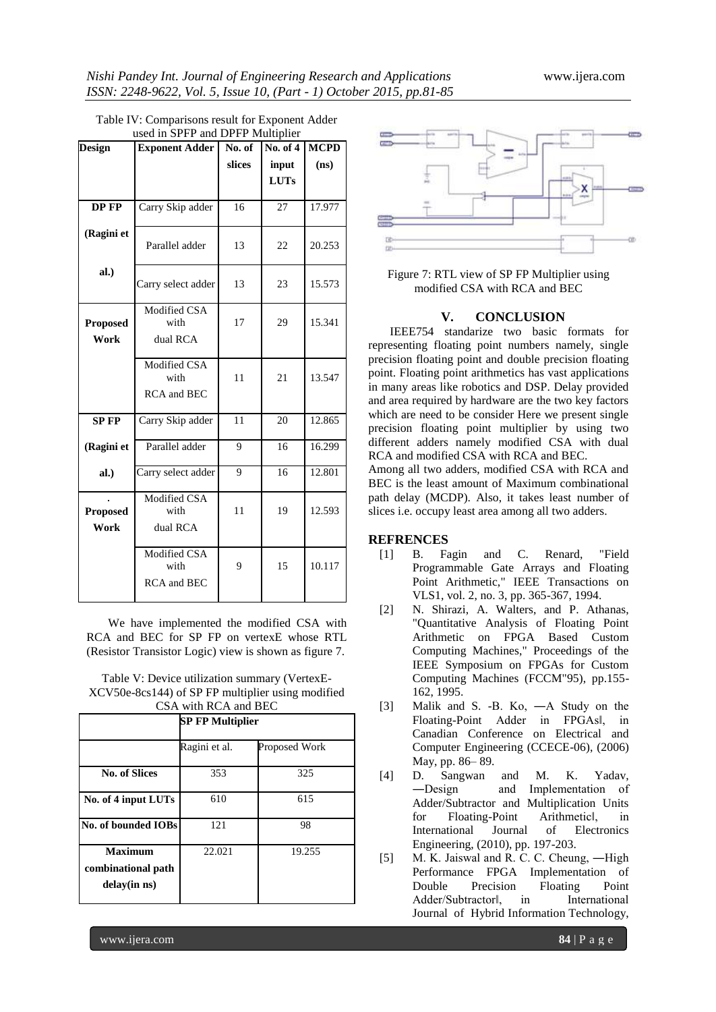| <b>Design</b>           | $\frac{1}{2}$ in $\frac{1}{2}$ is and $\frac{1}{2}$ is indicipally<br><b>Exponent Adder</b> | No. of | No. of 4             | <b>MCPD</b> |
|-------------------------|---------------------------------------------------------------------------------------------|--------|----------------------|-------------|
|                         |                                                                                             | slices | input<br><b>LUTs</b> | (ns)        |
| DP FP                   | Carry Skip adder                                                                            | 16     | 27                   | 17.977      |
| (Ragini et              | Parallel adder                                                                              | 13     | 22                   | 20.253      |
| al.)                    | Carry select adder                                                                          | 13     | 23                   | 15.573      |
| <b>Proposed</b><br>Work | Modified CSA<br>with<br>dual RCA                                                            | 17     | 29                   | 15.341      |
|                         | Modified CSA<br>with<br><b>RCA</b> and <b>BEC</b>                                           | 11     | 21                   | 13.547      |
| <b>SP FP</b>            | Carry Skip adder                                                                            | 11     | 20                   | 12.865      |
| (Ragini et              | Parallel adder                                                                              | 9      | 16                   | 16.299      |
| al.)                    | Carry select adder                                                                          | 9      | 16                   | 12.801      |
| <b>Proposed</b><br>Work | Modified CSA<br>with<br>dual RCA                                                            | 11     | 19                   | 12.593      |
|                         | Modified CSA<br>with<br><b>RCA</b> and <b>BEC</b>                                           | 9      | 15                   | 10.117      |

| Table IV: Comparisons result for Exponent Adder |
|-------------------------------------------------|
| used in SPFP and DPFP Multiplier                |

We have implemented the modified CSA with RCA and BEC for SP FP on vertexE whose RTL (Resistor Transistor Logic) view is shown as figure 7.

Table V: Device utilization summary (VertexE-XCV50e-8cs144) of SP FP multiplier using modified CSA with RCA and BEC

| CDA WILLI INCA AND DEC                                    |                         |                      |  |
|-----------------------------------------------------------|-------------------------|----------------------|--|
|                                                           | <b>SP FP Multiplier</b> |                      |  |
|                                                           | Ragini et al.           | <b>Proposed Work</b> |  |
| <b>No. of Slices</b>                                      | 353                     | 325                  |  |
| No. of 4 input LUTs                                       | 610                     | 615                  |  |
| No. of bounded IOBs                                       | 121                     | 98                   |  |
| <b>Maximum</b><br>combinational path<br>$delay(in \, ns)$ | 22.021                  | 19.255               |  |



Figure 7: RTL view of SP FP Multiplier using modified CSA with RCA and BEC

# **V. CONCLUSION**

IEEE754 standarize two basic formats for representing floating point numbers namely, single precision floating point and double precision floating point. Floating point arithmetics has vast applications in many areas like robotics and DSP. Delay provided and area required by hardware are the two key factors which are need to be consider Here we present single precision floating point multiplier by using two different adders namely modified CSA with dual RCA and modified CSA with RCA and BEC.

Among all two adders, modified CSA with RCA and BEC is the least amount of Maximum combinational path delay (MCDP). Also, it takes least number of slices i.e. occupy least area among all two adders.

# **REFRENCES**

- [1] B. Fagin and C. Renard, "Field Programmable Gate Arrays and Floating Point Arithmetic," IEEE Transactions on VLS1, vol. 2, no. 3, pp. 365-367, 1994.
- [2] N. Shirazi, A. Walters, and P. Athanas, "Quantitative Analysis of Floating Point Arithmetic on FPGA Based Custom Computing Machines," Proceedings of the IEEE Symposium on FPGAs for Custom Computing Machines (FCCM"95), pp.155- 162, 1995.
- [3] Malik and S. -B. Ko, ―A Study on the Floating-Point Adder in FPGAs‖, in Canadian Conference on Electrical and Computer Engineering (CCECE-06), (2006) May, pp. 86– 89.
- [4] D. Sangwan and M. K. Yadav, ―Design and Implementation of Adder/Subtractor and Multiplication Units for Floating-Point Arithmetic‖, in International Journal of Electronics Engineering, (2010), pp. 197-203.
- [5] M. K. Jaiswal and R. C. C. Cheung, —High Performance FPGA Implementation of Double Precision Floating Point Adder/Subtractorl, in International Journal of Hybrid Information Technology,

www.ijera.com **84** | P a g e